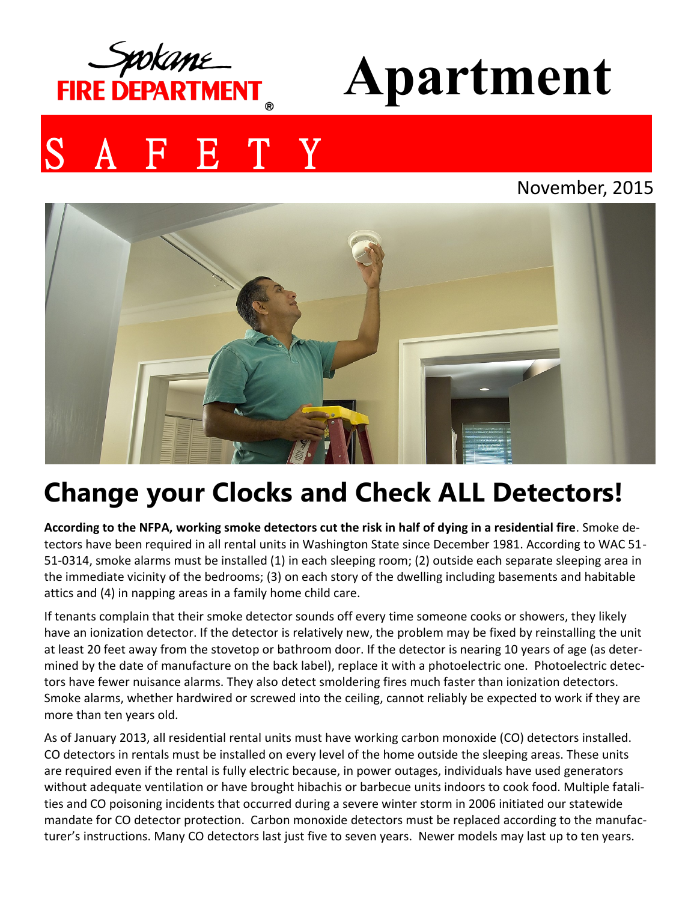

# **Apartment**

# E T Y

#### November, 2015



## **Change your Clocks and Check ALL Detectors!**

**According to the NFPA, working smoke detectors cut the risk in half of dying in a residential fire**. Smoke detectors have been required in all rental units in Washington State since December 1981. According to WAC 51- 51-0314, smoke alarms must be installed (1) in each sleeping room; (2) outside each separate sleeping area in the immediate vicinity of the bedrooms; (3) on each story of the dwelling including basements and habitable attics and (4) in napping areas in a family home child care.

If tenants complain that their smoke detector sounds off every time someone cooks or showers, they likely have an ionization detector. If the detector is relatively new, the problem may be fixed by reinstalling the unit at least 20 feet away from the stovetop or bathroom door. If the detector is nearing 10 years of age (as determined by the date of manufacture on the back label), replace it with a photoelectric one. Photoelectric detectors have fewer nuisance alarms. They also detect smoldering fires much faster than ionization detectors. Smoke alarms, whether hardwired or screwed into the ceiling, cannot reliably be expected to work if they are more than ten years old.

As of January 2013, all residential rental units must have working carbon monoxide (CO) detectors installed. CO detectors in rentals must be installed on every level of the home outside the sleeping areas. These units are required even if the rental is fully electric because, in power outages, individuals have used generators without adequate ventilation or have brought hibachis or barbecue units indoors to cook food. Multiple fatalities and CO poisoning incidents that occurred during a severe winter storm in 2006 initiated our statewide mandate for CO detector protection. Carbon monoxide detectors must be replaced according to the manufacturer's instructions. Many CO detectors last just five to seven years. Newer models may last up to ten years.